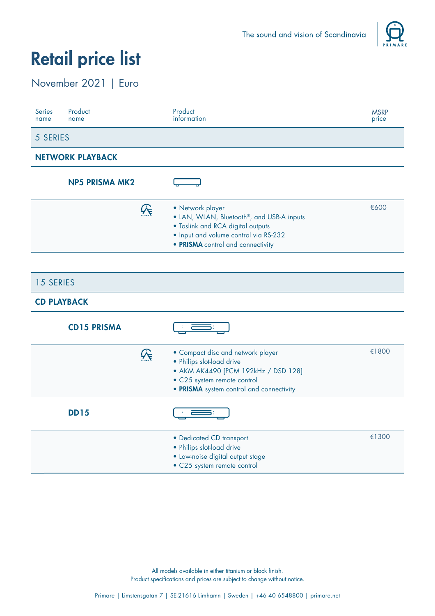

#### November 2021 | Euro

| Product<br><b>Series</b><br>name<br>name | Product<br>information                                                                                                                                                                        | <b>MSRP</b><br>price |
|------------------------------------------|-----------------------------------------------------------------------------------------------------------------------------------------------------------------------------------------------|----------------------|
| 5 SERIES                                 |                                                                                                                                                                                               |                      |
| <b>NETWORK PLAYBACK</b>                  |                                                                                                                                                                                               |                      |
| <b>NP5 PRISMA MK2</b>                    |                                                                                                                                                                                               |                      |
| $\mathcal{G}$                            | • Network player<br>• LAN, WLAN, Bluetooth <sup>®</sup> , and USB-A inputs<br>• Toslink and RCA digital outputs<br>· Input and volume control via RS-232<br>• PRISMA control and connectivity | €600                 |
| <b>15 SERIES</b><br><b>CD PLAYBACK</b>   |                                                                                                                                                                                               |                      |
| <b>CD15 PRISMA</b>                       |                                                                                                                                                                                               |                      |
| $\mathcal{G}$                            | • Compact disc and network player<br>• Philips slot-load drive<br>• AKM AK4490 [PCM 192kHz / DSD 128]<br>• C25 system remote control<br>• PRISMA system control and connectivity              | €1800                |
| <b>DD15</b>                              |                                                                                                                                                                                               |                      |
|                                          | • Dedicated CD transport<br>• Philips slot-load drive<br>· Low-noise digital output stage<br>• C25 system remote control                                                                      | €1300                |

All models available in either titanium or black finish.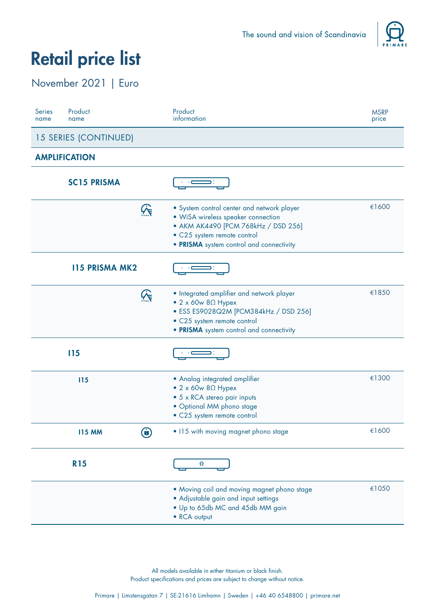

#### November 2021 | Euro

| <b>Series</b><br>name | Product<br>name       |               | Product<br>information                                                                                                                                                                              | <b>MSRP</b><br>price |
|-----------------------|-----------------------|---------------|-----------------------------------------------------------------------------------------------------------------------------------------------------------------------------------------------------|----------------------|
|                       | 15 SERIES (CONTINUED) |               |                                                                                                                                                                                                     |                      |
|                       | <b>AMPLIFICATION</b>  |               |                                                                                                                                                                                                     |                      |
|                       | <b>SC15 PRISMA</b>    |               |                                                                                                                                                                                                     |                      |
|                       |                       | $\mathcal{G}$ | • System control center and network player<br>· WiSA wireless speaker connection<br>• AKM AK4490 [PCM 768kHz / DSD 256]<br>· C25 system remote control<br>• PRISMA system control and connectivity  | €1600                |
|                       | <b>115 PRISMA MK2</b> |               |                                                                                                                                                                                                     |                      |
|                       |                       | $\mathcal{G}$ | • Integrated amplifier and network player<br>$\bullet$ 2 x 60w 8 $\Omega$ Hypex<br>· ESS ES9028Q2M [PCM384kHz / DSD 256]<br>· C25 system remote control<br>• PRISMA system control and connectivity | €1850                |
|                       | <b>I15</b>            |               |                                                                                                                                                                                                     |                      |
|                       | 115                   |               | • Analog integrated amplifier<br>$\bullet$ 2 x 60w 8 $\Omega$ Hypex<br>• 5 x RCA stereo pair inputs<br>· Optional MM phono stage<br>· C25 system remote control                                     | €1300                |
|                       | <b>I15 MM</b>         | Û             | • 115 with moving magnet phono stage                                                                                                                                                                | €1600                |
|                       | <b>R15</b>            |               | $\mathfrak{Q}$                                                                                                                                                                                      |                      |
|                       |                       |               | . Moving coil and moving magnet phono stage<br>• Adjustable gain and input settings<br>. Up to 65db MC and 45db MM gain<br>• RCA output                                                             | €1050                |

All models available in either titanium or black finish.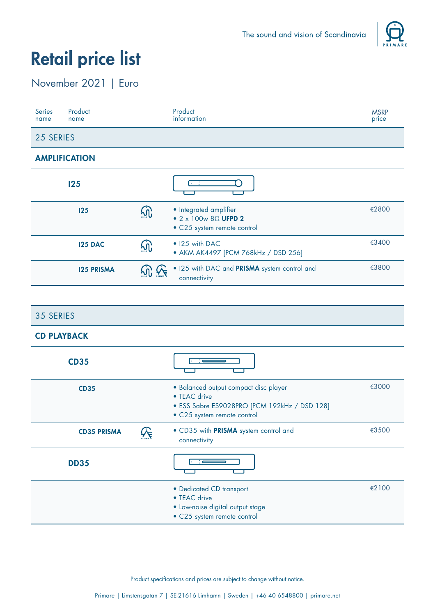

### November 2021 | Euro

| <b>Series</b><br>name | Product<br>name      |             | Product<br>information                                                                        | <b>MSRP</b><br>price |
|-----------------------|----------------------|-------------|-----------------------------------------------------------------------------------------------|----------------------|
| 25 SERIES             |                      |             |                                                                                               |                      |
|                       | <b>AMPLIFICATION</b> |             |                                                                                               |                      |
|                       | 125                  |             | $\overline{1}$                                                                                |                      |
|                       | 125                  | <u> ଜା</u>  | • Integrated amplifier<br>$\bullet$ 2 x 100w 8 $\Omega$ UFPD 2<br>· C25 system remote control | €2800                |
|                       | <b>125 DAC</b>       | <u> (၂)</u> | • 125 with DAC<br>• AKM AK4497 [PCM 768kHz / DSD 256]                                         | €3400                |
|                       | <b>125 PRISMA</b>    |             | . I25 with DAC and PRISMA system control and<br>connectivity                                  | €3800                |

| 35 SERIES               |                                                                                                                                      |       |
|-------------------------|--------------------------------------------------------------------------------------------------------------------------------------|-------|
| <b>CD PLAYBACK</b>      |                                                                                                                                      |       |
| <b>CD35</b>             |                                                                                                                                      |       |
| <b>CD35</b>             | · Balanced output compact disc player<br>• TEAC drive<br>· ESS Sabre ES9028PRO [PCM 192kHz / DSD 128]<br>• C25 system remote control | €3000 |
| <b>CD35 PRISMA</b><br>℅ | . CD35 with PRISMA system control and<br>connectivity                                                                                | €3500 |
| <b>DD35</b>             |                                                                                                                                      |       |
|                         | · Dedicated CD transport<br>• TEAC drive<br>· Low-noise digital output stage<br>• C25 system remote control                          | €2100 |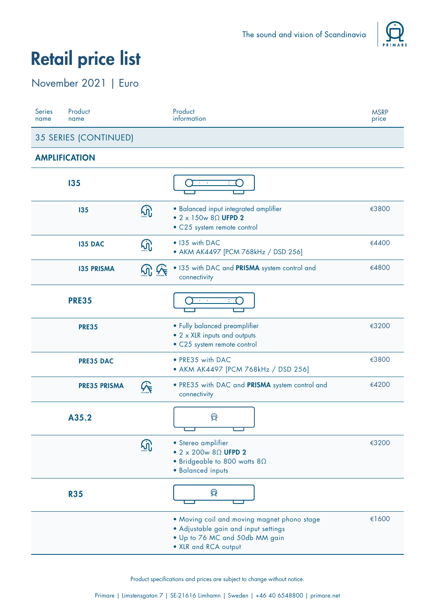

### November 2021 | Euro

| <b>Series</b><br>name | Product<br>name       |          | Product<br>information                                                                                                                        | <b>MSRP</b><br>price |  |
|-----------------------|-----------------------|----------|-----------------------------------------------------------------------------------------------------------------------------------------------|----------------------|--|
|                       | 35 SERIES (CONTINUED) |          |                                                                                                                                               |                      |  |
|                       | <b>AMPLIFICATION</b>  |          |                                                                                                                                               |                      |  |
|                       | 135                   |          | $\mathbf{e}^{\mathbf{e}}$ , $\mathbf{e}^{\mathbf{e}}$                                                                                         |                      |  |
|                       | 135                   | $\Omega$ | · Balanced input integrated amplifier<br>$\bullet$ 2 x 150w 8 $\Omega$ UFPD 2<br>• C25 system remote control                                  | €3800                |  |
|                       | <b>135 DAC</b>        |          | • 135 with DAC<br>• AKM AK4497 [PCM 768kHz / DSD 256]                                                                                         | €4400                |  |
|                       | <b>135 PRISMA</b>     |          | . 135 with DAC and PRISMA system control and<br>connectivity                                                                                  | €4800                |  |
|                       | <b>PRE35</b>          |          |                                                                                                                                               |                      |  |
|                       | <b>PRE35</b>          |          | • Fully balanced preamplifier<br>• 2 x XLR inputs and outputs<br>· C25 system remote control                                                  | €3200                |  |
|                       | <b>PRE35 DAC</b>      |          | • PRE35 with DAC<br>• AKM AK4497 [PCM 768kHz / DSD 256]                                                                                       | €3800                |  |
|                       | <b>PRE35 PRISMA</b>   |          | . PRE35 with DAC and PRISMA system control and<br>connectivity                                                                                | €4200                |  |
|                       | A35.2                 |          | $\mathfrak{D}$                                                                                                                                |                      |  |
|                       |                       |          | · Stereo amplifier<br>$\bullet$ 2 x 200w 8 $\Omega$ UFPD 2<br>• Bridgeable to 800 watts $8\Omega$<br>· Balanced inputs                        | €3200                |  |
|                       | <b>R35</b>            |          | $\Theta$                                                                                                                                      |                      |  |
|                       |                       |          | . Moving coil and moving magnet phono stage<br>· Adjustable gain and input settings<br>. Up to 76 MC and 50db MM gain<br>• XLR and RCA output | €1600                |  |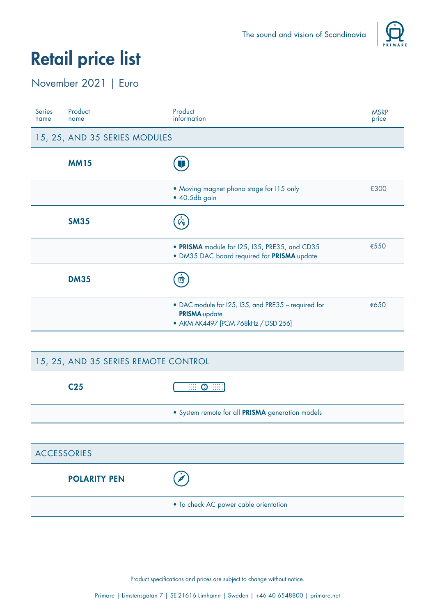

### November 2021 | Euro

| <b>Series</b><br>name                | Product<br>name               | Product<br>information                                                                                             | <b>MSRP</b><br>price |  |
|--------------------------------------|-------------------------------|--------------------------------------------------------------------------------------------------------------------|----------------------|--|
|                                      | 15, 25, AND 35 SERIES MODULES |                                                                                                                    |                      |  |
|                                      | <b>MM15</b>                   |                                                                                                                    |                      |  |
|                                      |                               | • Moving magnet phono stage for 115 only<br>$\bullet$ 40.5db gain                                                  | €300                 |  |
|                                      | <b>SM35</b>                   |                                                                                                                    |                      |  |
|                                      |                               | · PRISMA module for I25, I35, PRE35, and CD35<br>· DM35 DAC board required for PRISMA update                       | €550                 |  |
|                                      | <b>DM35</b>                   | 尊                                                                                                                  |                      |  |
|                                      |                               | • DAC module for I25, I35, and PRE35 - required for<br><b>PRISMA</b> update<br>• AKM AK4497 [PCM 768kHz / DSD 256] | €650                 |  |
|                                      |                               |                                                                                                                    |                      |  |
| 15, 25, AND 35 SERIES REMOTE CONTROL |                               |                                                                                                                    |                      |  |
|                                      | C <sub>25</sub>               | $\Theta$ ::::<br>$\overline{\mathbb{H}}$                                                                           |                      |  |
|                                      |                               | · System remote for all PRISMA generation models                                                                   |                      |  |

| <b>ACCESSORIES</b>  |                                       |
|---------------------|---------------------------------------|
| <b>POLARITY PEN</b> |                                       |
|                     | . To check AC power cable orientation |